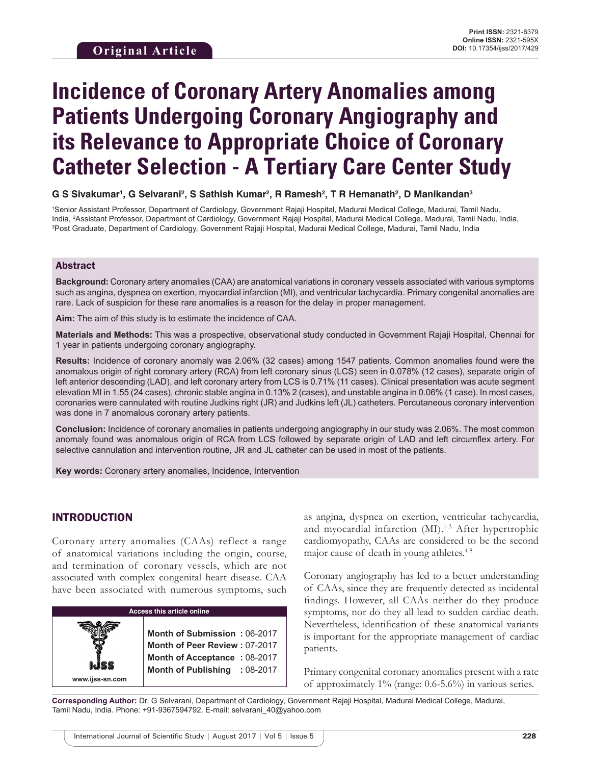# **Incidence of Coronary Artery Anomalies among Patients Undergoing Coronary Angiography and its Relevance to Appropriate Choice of Coronary Catheter Selection - A Tertiary Care Center Study**

#### ${\mathbf G}$  S Sivakumar', G Selvarani<sup>2</sup>, S Sathish Kumar<sup>2</sup>, R Ramesh<sup>2</sup>, T R Hemanath<sup>2</sup>, D Manikandan $^3$

1 Senior Assistant Professor, Department of Cardiology, Government Rajaji Hospital, Madurai Medical College, Madurai, Tamil Nadu, India, <sup>2</sup>Assistant Professor, Department of Cardiology, Government Rajaji Hospital, Madurai Medical College, Madurai, Tamil Nadu, India,<br><sup>3Dost</sup> Graduate, Department of Cardiology, Government Rajaji Hospital, Madurai Medi <sup>3</sup>Post Graduate, Department of Cardiology, Government Rajaji Hospital, Madurai Medical College, Madurai, Tamil Nadu, India

#### Abstract

**Background:** Coronary artery anomalies (CAA) are anatomical variations in coronary vessels associated with various symptoms such as angina, dyspnea on exertion, myocardial infarction (MI), and ventricular tachycardia. Primary congenital anomalies are rare. Lack of suspicion for these rare anomalies is a reason for the delay in proper management.

**Aim:** The aim of this study is to estimate the incidence of CAA.

**Materials and Methods:** This was a prospective, observational study conducted in Government Rajaji Hospital, Chennai for 1 year in patients undergoing coronary angiography.

**Results:** Incidence of coronary anomaly was 2.06% (32 cases) among 1547 patients. Common anomalies found were the anomalous origin of right coronary artery (RCA) from left coronary sinus (LCS) seen in 0.078% (12 cases), separate origin of left anterior descending (LAD), and left coronary artery from LCS is 0.71% (11 cases). Clinical presentation was acute segment elevation MI in 1.55 (24 cases), chronic stable angina in 0.13% 2 (cases), and unstable angina in 0.06% (1 case). In most cases, coronaries were cannulated with routine Judkins right (JR) and Judkins left (JL) catheters. Percutaneous coronary intervention was done in 7 anomalous coronary artery patients.

**Conclusion:** Incidence of coronary anomalies in patients undergoing angiography in our study was 2.06%. The most common anomaly found was anomalous origin of RCA from LCS followed by separate origin of LAD and left circumflex artery. For selective cannulation and intervention routine, JR and JL catheter can be used in most of the patients.

**Key words:** Coronary artery anomalies, Incidence, Intervention

## INTRODUCTION

**www.ijss-sn.com**

Coronary artery anomalies (CAAs) reflect a range of anatomical variations including the origin, course, and termination of coronary vessels, which are not associated with complex congenital heart disease. CAA have been associated with numerous symptoms, such

| Access this article online |  |  |  |
|----------------------------|--|--|--|
|                            |  |  |  |

**Month of Submission :** 06-2017 **Month of Peer Review :** 07-2017 **Month of Acceptance :** 08-2017 **Month of Publishing :** 08-2017 as angina, dyspnea on exertion, ventricular tachycardia, and myocardial infarction (MI).<sup>1-3</sup> After hypertrophic cardiomyopathy, CAAs are considered to be the second major cause of death in young athletes. $4-8$ 

Coronary angiography has led to a better understanding of CAAs, since they are frequently detected as incidental findings. However, all CAAs neither do they produce symptoms, nor do they all lead to sudden cardiac death. Nevertheless, identification of these anatomical variants is important for the appropriate management of cardiac patients.

Primary congenital coronary anomalies present with a rate of approximately 1% (range: 0.6-5.6%) in various series.

**Corresponding Author:** Dr. G Selvarani, Department of Cardiology, Government Rajaji Hospital, Madurai Medical College, Madurai, Tamil Nadu, India. Phone: +91-9367594792. E-mail: selvarani\_40@yahoo.com

International Journal of Scientific Study | August 2017 | Vol 5 | Issue 5 **228**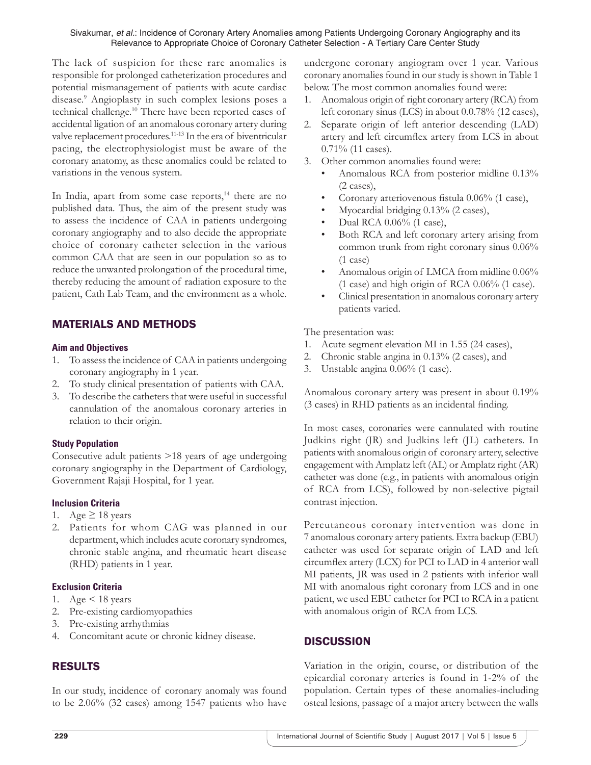#### Sivakumar, *et al.*: Incidence of Coronary Artery Anomalies among Patients Undergoing Coronary Angiography and its Relevance to Appropriate Choice of Coronary Catheter Selection - A Tertiary Care Center Study

The lack of suspicion for these rare anomalies is responsible for prolonged catheterization procedures and potential mismanagement of patients with acute cardiac disease.9 Angioplasty in such complex lesions poses a technical challenge.<sup>10</sup> There have been reported cases of accidental ligation of an anomalous coronary artery during valve replacement procedures.11-13 In the era of biventricular pacing, the electrophysiologist must be aware of the coronary anatomy, as these anomalies could be related to variations in the venous system.

In India, apart from some case reports, $14$  there are no published data. Thus, the aim of the present study was to assess the incidence of CAA in patients undergoing coronary angiography and to also decide the appropriate choice of coronary catheter selection in the various common CAA that are seen in our population so as to reduce the unwanted prolongation of the procedural time, thereby reducing the amount of radiation exposure to the patient, Cath Lab Team, and the environment as a whole.

# MATERIALS AND METHODS

#### **Aim and Objectives**

- 1. To assess the incidence of CAA in patients undergoing coronary angiography in 1 year.
- 2. To study clinical presentation of patients with CAA.
- 3. To describe the catheters that were useful in successful cannulation of the anomalous coronary arteries in relation to their origin.

## **Study Population**

Consecutive adult patients >18 years of age undergoing coronary angiography in the Department of Cardiology, Government Rajaji Hospital, for 1 year.

## **Inclusion Criteria**

- 1. Age  $\geq$  18 years
- 2. Patients for whom CAG was planned in our department, which includes acute coronary syndromes, chronic stable angina, and rheumatic heart disease (RHD) patients in 1 year.

#### **Exclusion Criteria**

- 1. Age < 18 years
- 2. Pre-existing cardiomyopathies
- 3. Pre-existing arrhythmias
- 4. Concomitant acute or chronic kidney disease.

# RESULTS

In our study, incidence of coronary anomaly was found to be 2.06% (32 cases) among 1547 patients who have undergone coronary angiogram over 1 year. Various coronary anomalies found in our study is shown in Table 1 below. The most common anomalies found were:

- 1. Anomalous origin of right coronary artery (RCA) from left coronary sinus (LCS) in about 0.0.78% (12 cases),
- 2. Separate origin of left anterior descending (LAD) artery and left circumflex artery from LCS in about 0.71% (11 cases).
- 3. Other common anomalies found were:
	- Anomalous RCA from posterior midline 0.13% (2 cases),
	- Coronary arteriovenous fistula 0.06% (1 case),
	- Myocardial bridging 0.13% (2 cases),
	- Dual RCA 0.06% (1 case),
	- Both RCA and left coronary artery arising from common trunk from right coronary sinus 0.06% (1 case)
	- Anomalous origin of LMCA from midline 0.06% (1 case) and high origin of RCA 0.06% (1 case).
	- Clinical presentation in anomalous coronary artery patients varied.

The presentation was:

- 1. Acute segment elevation MI in 1.55 (24 cases),
- 2. Chronic stable angina in 0.13% (2 cases), and
- 3. Unstable angina 0.06% (1 case).

Anomalous coronary artery was present in about 0.19% (3 cases) in RHD patients as an incidental finding.

In most cases, coronaries were cannulated with routine Judkins right (JR) and Judkins left (JL) catheters. In patients with anomalous origin of coronary artery, selective engagement with Amplatz left (AL) or Amplatz right (AR) catheter was done (e.g., in patients with anomalous origin of RCA from LCS), followed by non-selective pigtail contrast injection.

Percutaneous coronary intervention was done in 7 anomalous coronary artery patients. Extra backup (EBU) catheter was used for separate origin of LAD and left circumflex artery (LCX) for PCI to LAD in 4 anterior wall MI patients, JR was used in 2 patients with inferior wall MI with anomalous right coronary from LCS and in one patient, we used EBU catheter for PCI to RCA in a patient with anomalous origin of RCA from LCS.

# **DISCUSSION**

Variation in the origin, course, or distribution of the epicardial coronary arteries is found in 1-2% of the population. Certain types of these anomalies-including osteal lesions, passage of a major artery between the walls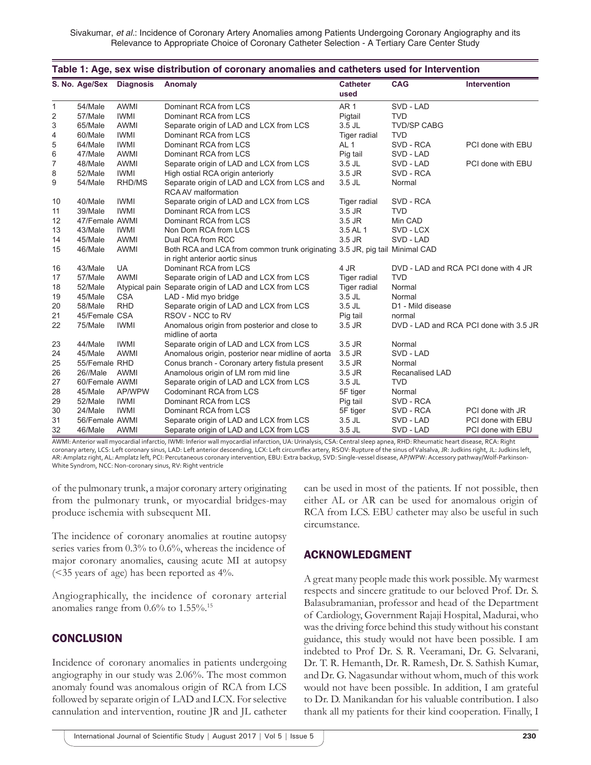Sivakumar, *et al.*: Incidence of Coronary Artery Anomalies among Patients Undergoing Coronary Angiography and its Relevance to Appropriate Choice of Coronary Catheter Selection - A Tertiary Care Center Study

| Table 1: Age, sex wise distribution of coronary anomalies and catheters used for Intervention |                          |             |                                                                                                               |                         |                                      |                                        |  |  |
|-----------------------------------------------------------------------------------------------|--------------------------|-------------|---------------------------------------------------------------------------------------------------------------|-------------------------|--------------------------------------|----------------------------------------|--|--|
|                                                                                               | S. No. Age/Sex Diagnosis |             | <b>Anomaly</b>                                                                                                | <b>Catheter</b><br>used | <b>CAG</b>                           | <b>Intervention</b>                    |  |  |
| $\mathbf{1}$                                                                                  | 54/Male                  | <b>AWMI</b> | Dominant RCA from LCS                                                                                         | <b>AR1</b>              | SVD - LAD                            |                                        |  |  |
| 2                                                                                             | 57/Male                  | <b>IWMI</b> | Dominant RCA from LCS                                                                                         | Pigtail                 | <b>TVD</b>                           |                                        |  |  |
| 3                                                                                             | 65/Male                  | <b>AWMI</b> | Separate origin of LAD and LCX from LCS                                                                       | $3.5$ JL                | <b>TVD/SP CABG</b>                   |                                        |  |  |
| 4                                                                                             | 60/Male                  | <b>IWMI</b> | Dominant RCA from LCS                                                                                         | <b>Tiger radial</b>     | <b>TVD</b>                           |                                        |  |  |
| 5                                                                                             | 64/Male                  | <b>IWMI</b> | Dominant RCA from LCS                                                                                         | AL <sub>1</sub>         | SVD - RCA                            | PCI done with EBU                      |  |  |
| 6                                                                                             | 47/Male                  | <b>AWMI</b> | Dominant RCA from LCS                                                                                         | Pig tail                | SVD - LAD                            |                                        |  |  |
| 7                                                                                             | 48/Male                  | AWMI        | Separate origin of LAD and LCX from LCS                                                                       | $3.5$ JL                | SVD - LAD                            | PCI done with EBU                      |  |  |
| 8                                                                                             | 52/Male                  | <b>IWMI</b> | High ostial RCA origin anteriorly                                                                             | 3.5 JR                  | SVD - RCA                            |                                        |  |  |
| 9                                                                                             | 54/Male                  | RHD/MS      | Separate origin of LAD and LCX from LCS and<br><b>RCA AV malformation</b>                                     | 3.5 JL                  | Normal                               |                                        |  |  |
| 10                                                                                            | 40/Male                  | <b>IWMI</b> | Separate origin of LAD and LCX from LCS                                                                       | Tiger radial            | SVD - RCA                            |                                        |  |  |
| 11                                                                                            | 39/Male                  | <b>IWMI</b> | Dominant RCA from LCS                                                                                         | $3.5$ JR                | <b>TVD</b>                           |                                        |  |  |
| 12                                                                                            | 47/Female AWMI           |             | Dominant RCA from LCS                                                                                         | $3.5$ JR                | Min CAD                              |                                        |  |  |
| 13                                                                                            | 43/Male                  | IWMI        | Non Dom RCA from LCS                                                                                          | 3.5 AL 1                | SVD - LCX                            |                                        |  |  |
| 14                                                                                            | 45/Male                  | AWMI        | Dual RCA from RCC                                                                                             | 3.5 JR                  | SVD - LAD                            |                                        |  |  |
| 15                                                                                            | 46/Male                  | AWMI        | Both RCA and LCA from common trunk originating 3.5 JR, pig tail Minimal CAD<br>in right anterior aortic sinus |                         |                                      |                                        |  |  |
| 16                                                                                            | 43/Male                  | <b>UA</b>   | Dominant RCA from LCS                                                                                         | 4 JR                    | DVD - LAD and RCA PCI done with 4 JR |                                        |  |  |
| 17                                                                                            | 57/Male                  | <b>AWMI</b> | Separate origin of LAD and LCX from LCS                                                                       | <b>Tiger radial</b>     | <b>TVD</b>                           |                                        |  |  |
| 18                                                                                            | 52/Male                  |             | Atypical pain Separate origin of LAD and LCX from LCS                                                         | Tiger radial            | Normal                               |                                        |  |  |
| 19                                                                                            | 45/Male                  | <b>CSA</b>  | LAD - Mid myo bridge                                                                                          | 3.5 JL                  | Normal                               |                                        |  |  |
| 20                                                                                            | 58/Male                  | <b>RHD</b>  | Separate origin of LAD and LCX from LCS                                                                       | $3.5$ JL                | D1 - Mild disease                    |                                        |  |  |
| 21                                                                                            | 45/Female CSA            |             | RSOV - NCC to RV                                                                                              | Pig tail                | normal                               |                                        |  |  |
| 22                                                                                            | 75/Male                  | <b>IWMI</b> | Anomalous origin from posterior and close to<br>midline of aorta                                              | $3.5$ JR                |                                      | DVD - LAD and RCA PCI done with 3.5 JR |  |  |
| 23                                                                                            | 44/Male                  | <b>IWMI</b> | Separate origin of LAD and LCX from LCS                                                                       | 3.5 JR                  | Normal                               |                                        |  |  |
| 24                                                                                            | 45/Male                  | <b>AWMI</b> | Anomalous origin, posterior near midline of aorta                                                             | 3.5 JR                  | SVD - LAD                            |                                        |  |  |
| 25                                                                                            | 55/Female RHD            |             | Conus branch - Coronary artery fistula present                                                                | 3.5 JR                  | Normal                               |                                        |  |  |
| 26                                                                                            | 26//Male                 | AWMI        | Anamolous origin of LM rom mid line                                                                           | $3.5$ JR                | Recanalised LAD                      |                                        |  |  |
| 27                                                                                            | 60/Female AWMI           |             | Separate origin of LAD and LCX from LCS                                                                       | $3.5$ JL                | <b>TVD</b>                           |                                        |  |  |
| 28                                                                                            | 45/Male                  | AP/WPW      | Codominant RCA from LCS                                                                                       | 5F tiger                | Normal                               |                                        |  |  |
| 29                                                                                            | 52/Male                  | <b>IWMI</b> | Dominant RCA from LCS                                                                                         | Pig tail                | SVD - RCA                            |                                        |  |  |
| 30                                                                                            | 24/Male                  | <b>IWMI</b> | Dominant RCA from LCS                                                                                         | 5F tiger                | SVD - RCA                            | PCI done with JR                       |  |  |
| 31                                                                                            | 56/Female AWMI           |             | Separate origin of LAD and LCX from LCS                                                                       | $3.5$ JL                | SVD - LAD                            | PCI done with EBU                      |  |  |
| 32                                                                                            | 46/Male                  | <b>AWMI</b> | Separate origin of LAD and LCX from LCS                                                                       | 3.5 JL                  | SVD - LAD                            | PCI done with EBU                      |  |  |

AWMI: Anterior wall myocardial infarctio, IWMI: Inferior wall myocardial infarction, UA: Urinalysis, CSA: Central sleep apnea, RHD: Rheumatic heart disease, RCA: Right coronary artery, LCS: Left coronary sinus, LAD: Left anterior descending, LCX: Left circumflex artery, RSOV: Rupture of the sinus of Valsalva, JR: Judkins right, JL: Judkins left, AR: Amplatz right, AL: Amplatz left, PCI: Percutaneous coronary intervention, EBU: Extra backup, SVD: Single‑vessel disease, AP/WPW: Accessory pathway/Wolf-Parkinson-White Syndrom, NCC: Non-coronary sinus, RV: Right ventricle

of the pulmonary trunk, a major coronary artery originating from the pulmonary trunk, or myocardial bridges-may produce ischemia with subsequent MI.

The incidence of coronary anomalies at routine autopsy series varies from 0.3% to 0.6%, whereas the incidence of major coronary anomalies, causing acute MI at autopsy (<35 years of age) has been reported as 4%.

Angiographically, the incidence of coronary arterial anomalies range from  $0.6\%$  to  $1.55\%$ .<sup>15</sup>

# **CONCLUSION**

Incidence of coronary anomalies in patients undergoing angiography in our study was 2.06%. The most common anomaly found was anomalous origin of RCA from LCS followed by separate origin of LAD and LCX. For selective cannulation and intervention, routine JR and JL catheter can be used in most of the patients. If not possible, then either AL or AR can be used for anomalous origin of RCA from LCS. EBU catheter may also be useful in such circumstance.

# ACKNOWLEDGMENT

A great many people made this work possible. My warmest respects and sincere gratitude to our beloved Prof. Dr. S. Balasubramanian, professor and head of the Department of Cardiology, Government Rajaji Hospital, Madurai, who was the driving force behind this study without his constant guidance, this study would not have been possible. I am indebted to Prof Dr. S. R. Veeramani, Dr. G. Selvarani, Dr. T. R. Hemanth, Dr. R. Ramesh, Dr. S. Sathish Kumar, and Dr. G. Nagasundar without whom, much of this work would not have been possible. In addition, I am grateful to Dr. D. Manikandan for his valuable contribution. I also thank all my patients for their kind cooperation. Finally, I